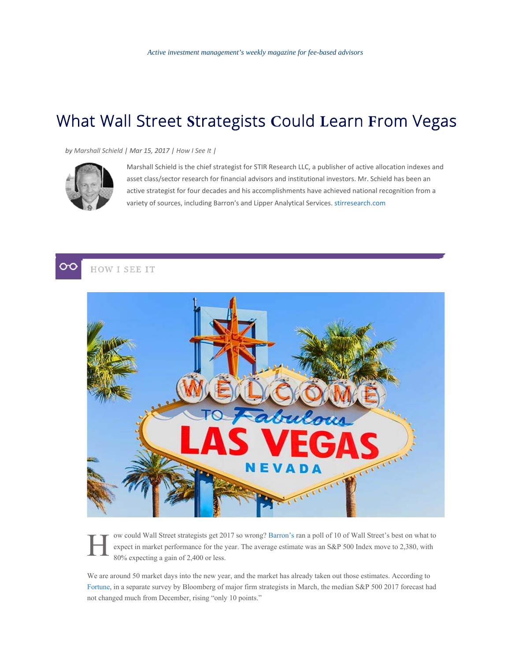## What Wall Street **S**trategists **C**ould **L**earn **F**rom Vegas

*by Marshall Schield | Mar 15, 2017 | How I See It |*



Marshall Schield is the chief strategist for STIR Research LLC, a publisher of active allocation indexes and asset class/sector research for financial advisors and institutional investors. Mr. Schield has been an active strategist for four decades and his accomplishments have achieved national recognition from a variety of sources, including Barron's and Lipper Analytical Services. stirresearch.com





ow could Wall Street strategists get 2017 so wrong? Barron's ran a poll of 10 of Wall Street's best on what to expect in market performance for the year. The average estimate was an S&P 500 Index move to 2,380, with 80% expecting a gain of 2,400 or less.

We are around 50 market days into the new year, and the market has already taken out those estimates. According to Fortune, in a separate survey by Bloomberg of major firm strategists in March, the median S&P 500 2017 forecast had not changed much from December, rising "only 10 points."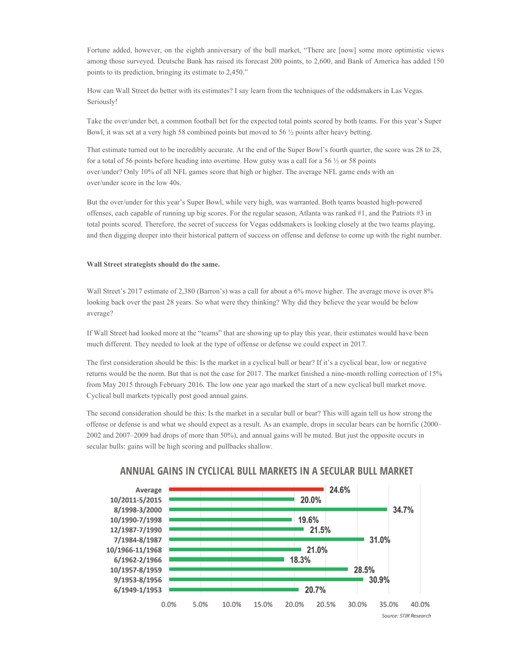Fortune added, however, on the eighth anniversary of the bull market, "There are [now] some more optimistic views among those surveyed. Deutsche Bank has raised its forecast 200 points, to 2,600, and Bank of America has added 150 points to its prediction, bringing its estimate to 2,450."

How can Wall Street do better with its estimates? I say learn from the techniques of the oddsmakers in Las Vegas. Seriously!

Take the over/under bet, a common football bet for the expected total points scored by both teams. For this year's Super Bowl, it was set at a very high 58 combined points but moved to 56 ½ points after heavy betting.

That estimate turned out to be incredibly accurate. At the end of the Super Bowl's fourth quarter, the score was 28 to 28, for a total of 56 points before heading into overtime. How gutsy was a call for a 56  $\frac{1}{2}$  or 58 points over/under? Only 10% of all NFL games score that high or higher. The average NFL game ends with an over/under score in the low 40s.

But the over/under for this year's Super Bowl, while very high, was warranted. Both teams boasted high-powered offenses, each capable of running up big scores. For the regular season, Atlanta was ranked #1, and the Patriots #3 in total points scored. Therefore, the secret of success for Vegas oddsmakers is looking closely at the two teams playing, and then digging deeper into their historical pattern of success on offense and defense to come up with the right number.

## **Wall Street strategists should do the same.**

Wall Street's 2017 estimate of 2,380 (Barron's) was a call for about a 6% move higher. The average move is over 8% looking back over the past 28 years. So what were they thinking? Why did they believe the year would be below average?

If Wall Street had looked more at the "teams" that are showing up to play this year, their estimates would have been much different. They needed to look at the type of offense or defense we could expect in 2017.

The first consideration should be this: Is the market in a cyclical bull or bear? If it's a cyclical bear, low or negative returns would be the norm. But that is not the case for 2017. The market finished a nine-month rolling correction of 15% from May 2015 through February 2016. The low one year ago marked the start of a new cyclical bull market move. Cyclical bull markets typically post good annual gains.

The second consideration should be this: Is the market in a secular bull or bear? This will again tell us how strong the offense or defense is and what we should expect as a result. As an example, drops in secular bears can be horrific (2000– 2002 and 2007–2009 had drops of more than 50%), and annual gains will be muted. But just the opposite occurs in secular bulls: gains will be high scoring and pullbacks shallow.



## **ANNUAL GAINS IN CYCLICAL BULL MARKETS IN A SECULAR BULL MARKET**